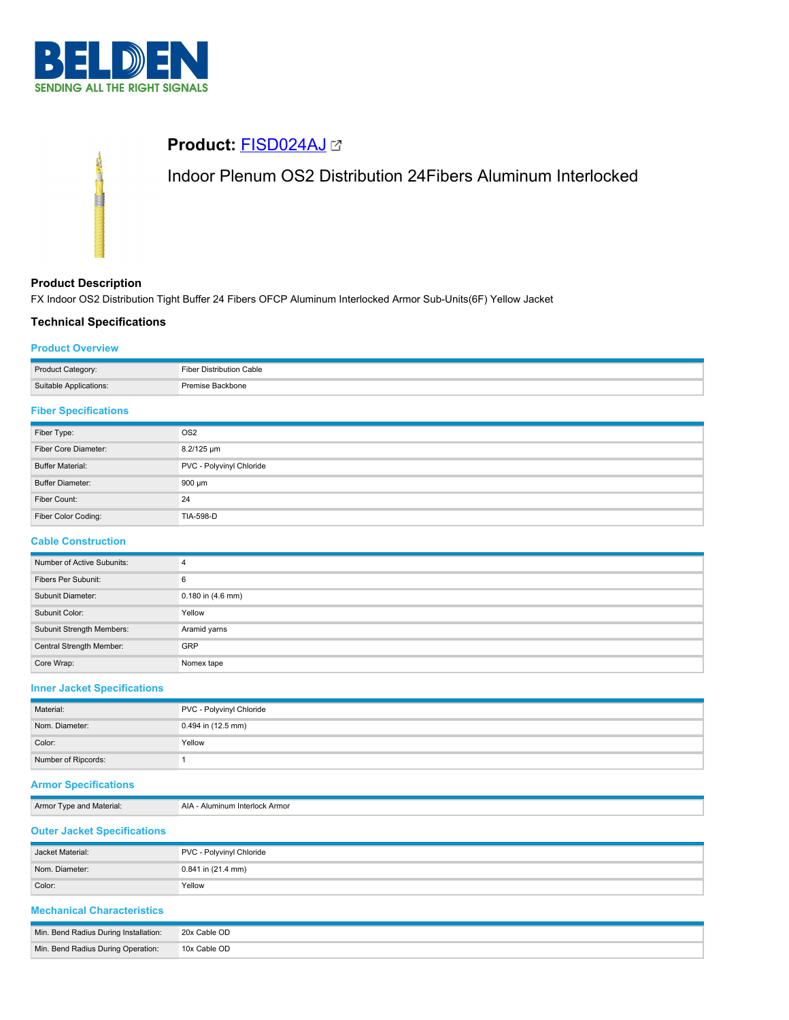

# **Product:** [FISD024AJ](https://catalog.belden.com/index.cfm?event=pd&p=PF_FISD024AJ&tab=downloads) Indoor Plenum OS2 Distribution 24Fibers Aluminum Interlocked

# **Product Description**

FX Indoor OS2 Distribution Tight Buffer 24 Fibers OFCP Aluminum Interlocked Armor Sub-Units(6F) Yellow Jacket

# **Technical Specifications**

## **Product Overview**

| Product Category:      | Fiber Distribution Cable |
|------------------------|--------------------------|
| Suitable Applications: | : Backbone               |

# **Fiber Specifications**

| Fiber Type:             | OS <sub>2</sub>          |
|-------------------------|--------------------------|
| Fiber Core Diameter:    | 8.2/125 um               |
| <b>Buffer Material:</b> | PVC - Polyvinyl Chloride |
| <b>Buffer Diameter:</b> | 900 µm                   |
| Fiber Count:            | 24                       |
| Fiber Color Coding:     | TIA-598-D                |

## **Cable Construction**

| Number of Active Subunits: | 4                     |  |
|----------------------------|-----------------------|--|
| Fibers Per Subunit:        | 6                     |  |
| Subunit Diameter:          | $0.180$ in $(4.6$ mm) |  |
| Subunit Color:             | Yellow                |  |
| Subunit Strength Members:  | Aramid yarns          |  |
| Central Strength Member:   | <b>GRP</b>            |  |
| Core Wrap:                 | Nomex tape            |  |

# **Inner Jacket Specifications**

| Material:           | PVC - Polyvinyl Chloride |  |
|---------------------|--------------------------|--|
| Nom. Diameter:      | 0.494 in (12.5 mm)       |  |
| Color:              | Yellow                   |  |
| Number of Ripcords: |                          |  |

# **Armor Specifications**

Armor Type and Material: AIA - Aluminum Interlock Armor

# **Outer Jacket Specifications**

| Jacket Material: | PVC - Polyvinyl Chloride |  |
|------------------|--------------------------|--|
| Nom. Diameter:   | $0.841$ in (21.4 mm)     |  |
| Color:           | Yellow                   |  |

# **Mechanical Characteristics**

| Min. Bend Radius During Installation: | 20x Cable OD |
|---------------------------------------|--------------|
| Min. Bend Radius During Operation:    | 10x Cable OD |